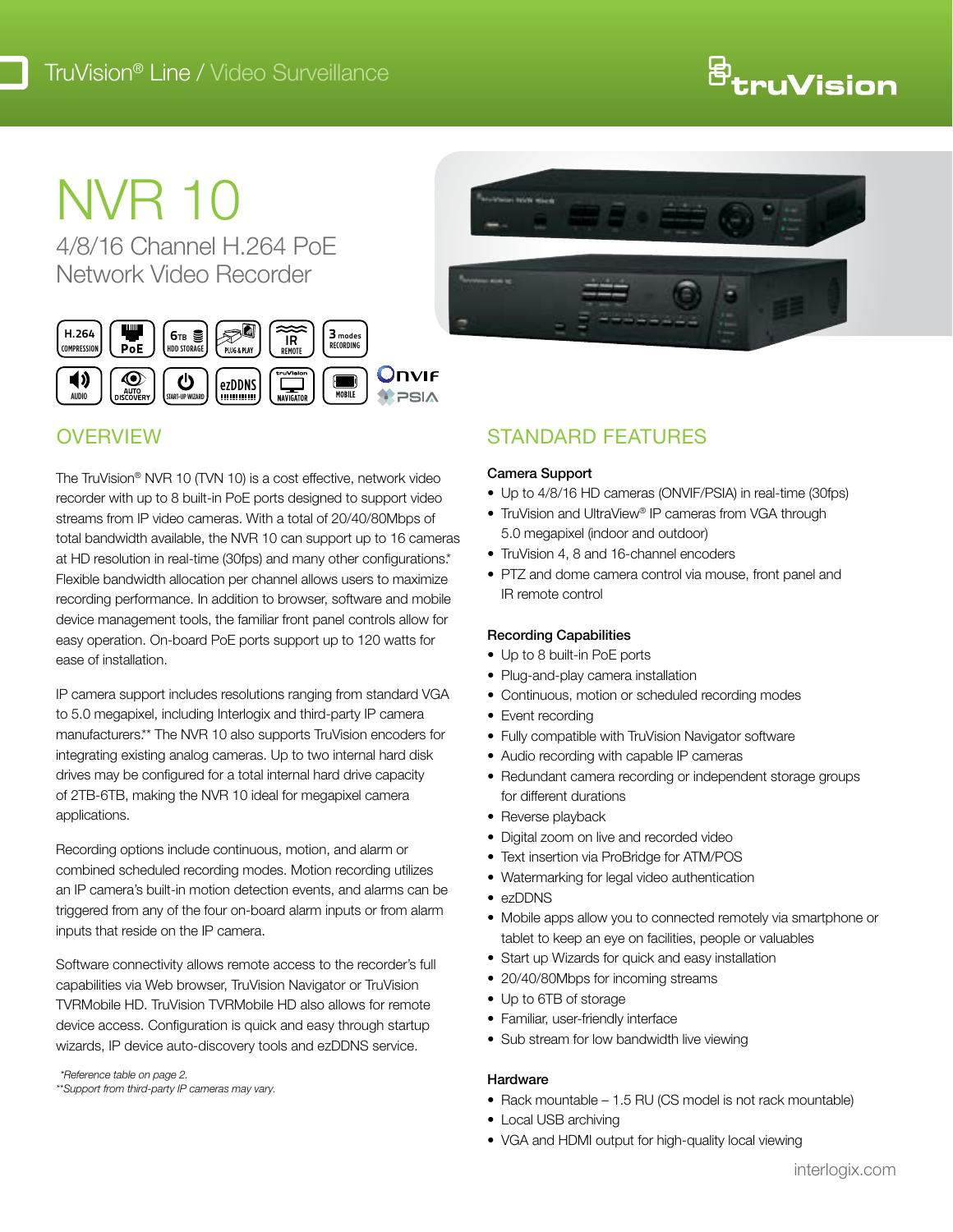# <sup>骨</sup>truVision

# NVR 10

4/8/16 Channel H.264 PoE Network Video Recorder



# **OVERVIEW**

The TruVision® NVR 10 (TVN 10) is a cost effective, network video recorder with up to 8 built-in PoE ports designed to support video streams from IP video cameras. With a total of 20/40/80Mbps of total bandwidth available, the NVR 10 can support up to 16 cameras at HD resolution in real-time (30fps) and many other configurations.\* Flexible bandwidth allocation per channel allows users to maximize recording performance. In addition to browser, software and mobile device management tools, the familiar front panel controls allow for easy operation. On-board PoE ports support up to 120 watts for ease of installation.

IP camera support includes resolutions ranging from standard VGA to 5.0 megapixel, including Interlogix and third-party IP camera manufacturers.\*\* The NVR 10 also supports TruVision encoders for integrating existing analog cameras. Up to two internal hard disk drives may be configured for a total internal hard drive capacity of 2TB-6TB, making the NVR 10 ideal for megapixel camera applications.

Recording options include continuous, motion, and alarm or combined scheduled recording modes. Motion recording utilizes an IP camera's built-in motion detection events, and alarms can be triggered from any of the four on-board alarm inputs or from alarm inputs that reside on the IP camera.

Software connectivity allows remote access to the recorder's full capabilities via Web browser, TruVision Navigator or TruVision TVRMobile HD. TruVision TVRMobile HD also allows for remote device access. Configuration is quick and easy through startup wizards, IP device auto-discovery tools and ezDDNS service.

\*Reference table on page 2. \*\*Support from third-party IP cameras may vary.



## Standard features

#### Camera Support

- Up to 4/8/16 HD cameras (ONVIF/PSIA) in real-time (30fps)
- TruVision and UltraView® IP cameras from VGA through 5.0 megapixel (indoor and outdoor)
- TruVision 4, 8 and 16-channel encoders
- PTZ and dome camera control via mouse, front panel and IR remote control

#### Recording Capabilities

- Up to 8 built-in PoE ports
- Plug-and-play camera installation
- Continuous, motion or scheduled recording modes
- Event recording
- Fully compatible with TruVision Navigator software
- Audio recording with capable IP cameras
- Redundant camera recording or independent storage groups for different durations
- Reverse playback
- Digital zoom on live and recorded video
- Text insertion via ProBridge for ATM/POS
- Watermarking for legal video authentication
- ezDDNS
- Mobile apps allow you to connected remotely via smartphone or tablet to keep an eye on facilities, people or valuables
- Start up Wizards for quick and easy installation
- 20/40/80Mbps for incoming streams
- Up to 6TB of storage
- Familiar, user-friendly interface
- Sub stream for low bandwidth live viewing

#### Hardware

- $\bullet$  Rack mountable 1.5 RU (CS model is not rack mountable)
- Local USB archiving
- VGA and HDMI output for high-quality local viewing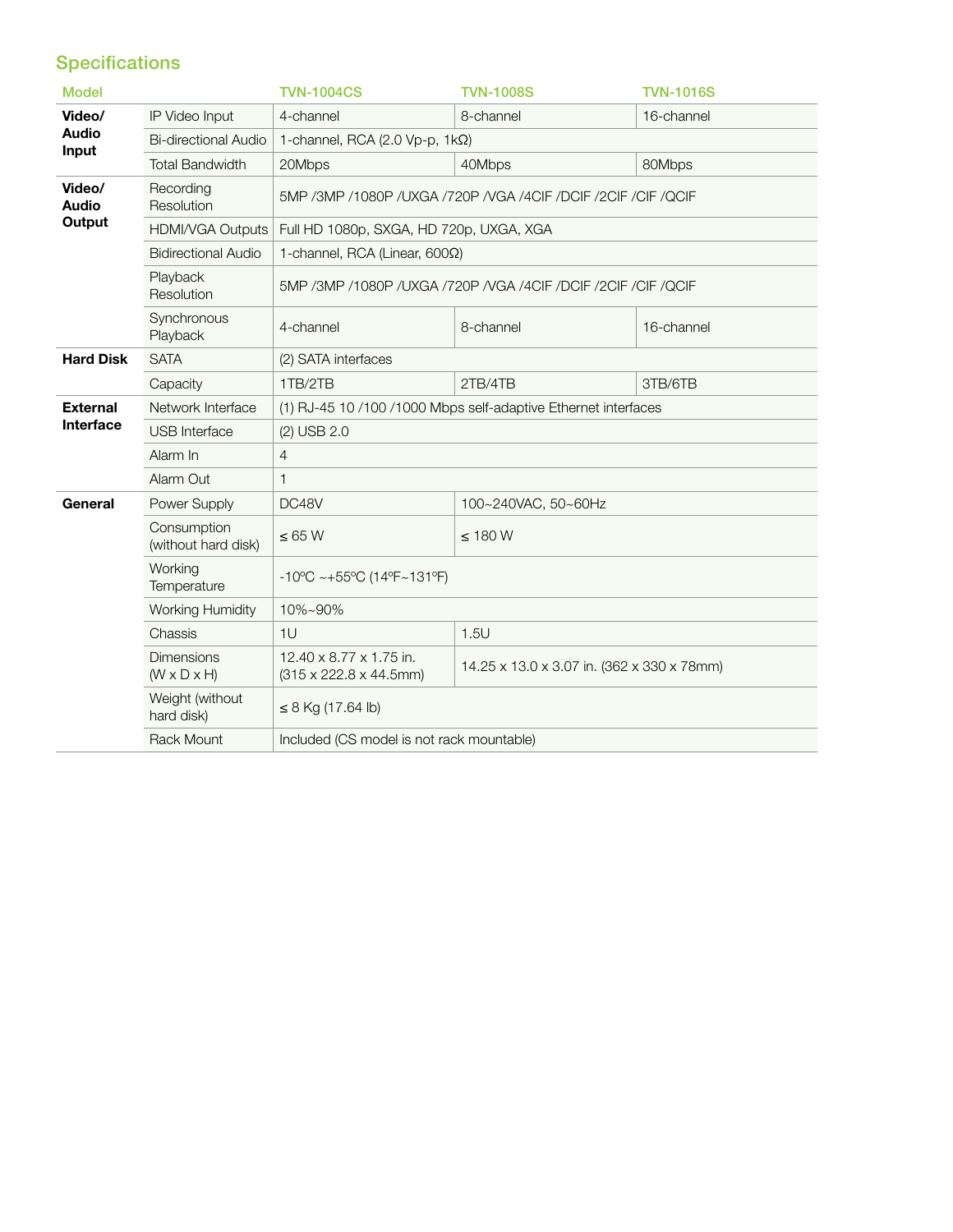### **Specifications**

| <b>Model</b>                     |                                              | <b>TVN-1004CS</b>                                                       | <b>TVN-1008S</b>                           | <b>TVN-1016S</b> |
|----------------------------------|----------------------------------------------|-------------------------------------------------------------------------|--------------------------------------------|------------------|
| Video/<br><b>Audio</b><br>Input  | IP Video Input                               | 4-channel                                                               | 8-channel                                  | 16-channel       |
|                                  | <b>Bi-directional Audio</b>                  | 1-channel, RCA (2.0 Vp-p, $1k\Omega$ )                                  |                                            |                  |
|                                  | <b>Total Bandwidth</b>                       | 20Mbps                                                                  | 40Mbps                                     | 80Mbps           |
| Video/<br><b>Audio</b><br>Output | Recording<br>Resolution                      | 5MP /3MP /1080P /UXGA /720P /VGA /4CIF /DCIF /2CIF /CIF /QCIF           |                                            |                  |
|                                  | HDMI/VGA Outputs                             | Full HD 1080p, SXGA, HD 720p, UXGA, XGA                                 |                                            |                  |
|                                  | <b>Bidirectional Audio</b>                   | 1-channel, RCA (Linear, $600\Omega$ )                                   |                                            |                  |
|                                  | Playback<br>Resolution                       | 5MP / 3MP / 1080P / UXGA / 720P / VGA / 4CIF / DCIF / 2CIF / CIF / QCIF |                                            |                  |
|                                  | Synchronous<br>Playback                      | 4-channel                                                               | 8-channel                                  | 16-channel       |
| <b>Hard Disk</b>                 | <b>SATA</b>                                  | (2) SATA interfaces                                                     |                                            |                  |
|                                  | Capacity                                     | 1TB/2TB                                                                 | 2TB/4TB                                    | 3TB/6TB          |
| <b>External</b><br>Interface     | Network Interface                            | (1) RJ-45 10 /100 /1000 Mbps self-adaptive Ethernet interfaces          |                                            |                  |
|                                  | <b>USB</b> Interface                         | (2) USB 2.0                                                             |                                            |                  |
|                                  | Alarm In                                     | 4                                                                       |                                            |                  |
|                                  | Alarm Out                                    | $\mathbf{1}$                                                            |                                            |                  |
| General                          | Power Supply                                 | DC48V                                                                   | 100~240VAC, 50~60Hz                        |                  |
|                                  | Consumption<br>(without hard disk)           | $\leq 65$ W                                                             | $\leq$ 180 W                               |                  |
|                                  | Working<br>Temperature                       | $-10^{\circ}$ C ~ $+55^{\circ}$ C (14°F~131°F)                          |                                            |                  |
|                                  | <b>Working Humidity</b>                      | 10%~90%                                                                 |                                            |                  |
|                                  | Chassis                                      | 1U                                                                      | 1.5U                                       |                  |
|                                  | <b>Dimensions</b><br>$(W \times D \times H)$ | 12.40 x 8.77 x 1.75 in.<br>$(315 \times 222.8 \times 44.5$ mm)          | 14.25 x 13.0 x 3.07 in. (362 x 330 x 78mm) |                  |
|                                  | Weight (without<br>hard disk)                | $\leq$ 8 Kg (17.64 lb)                                                  |                                            |                  |
|                                  | <b>Rack Mount</b>                            | Included (CS model is not rack mountable)                               |                                            |                  |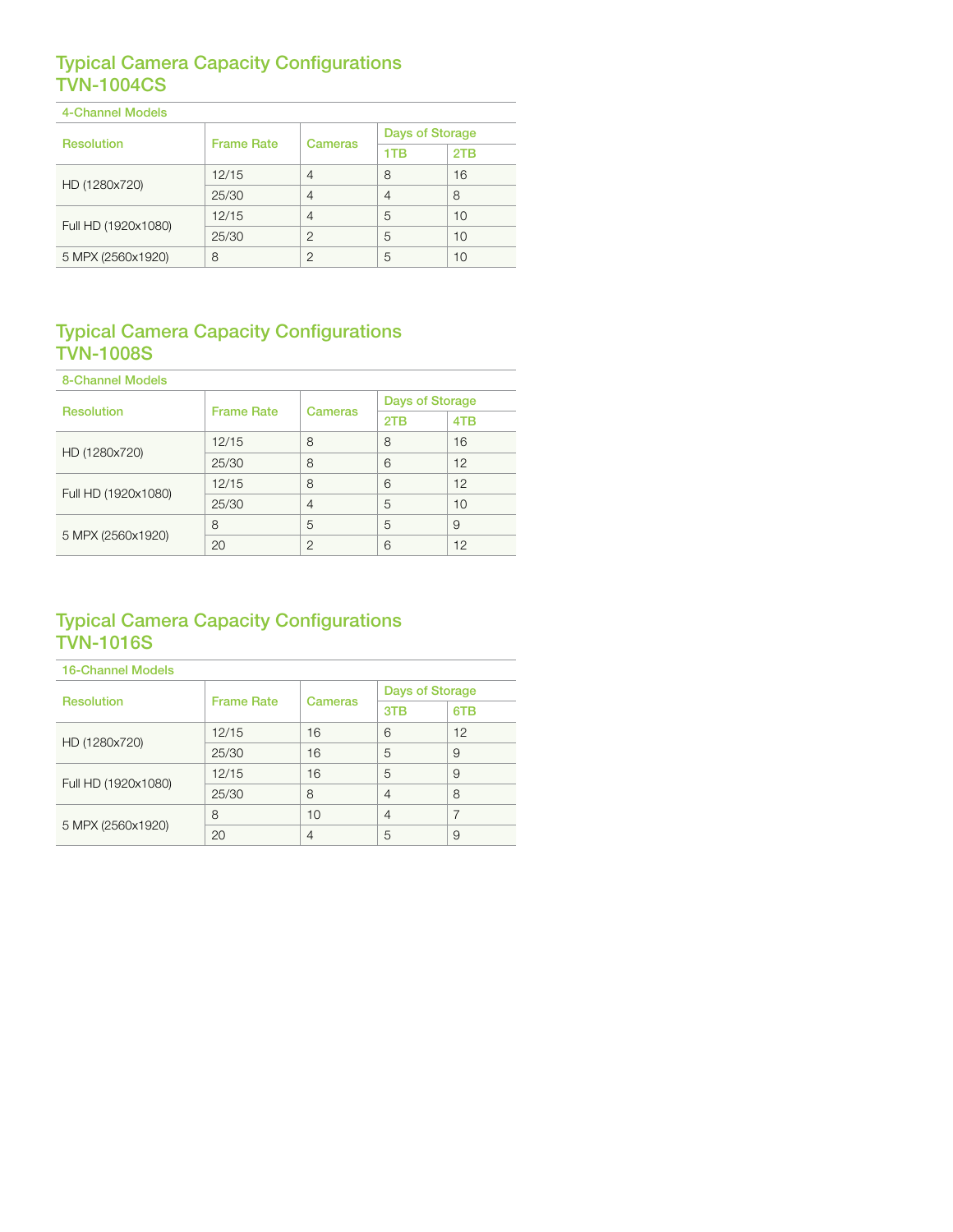#### Typical Camera Capacity Configurations TVN-1004CS

| 4-Channel Models    |                   |                |                        |     |
|---------------------|-------------------|----------------|------------------------|-----|
| <b>Resolution</b>   | <b>Frame Rate</b> | <b>Cameras</b> | <b>Days of Storage</b> |     |
|                     |                   |                | 1TB                    | 2TB |
| HD (1280x720)       | 12/15             | 4              | 8                      | 16  |
|                     | 25/30             | 4              | 4                      | 8   |
| Full HD (1920x1080) | 12/15             | 4              | 5                      | 10  |
|                     | 25/30             | $\mathcal{P}$  | 5                      | 10  |
| 5 MPX (2560x1920)   | 8                 | 2              | 5                      | 10  |

#### Typical Camera Capacity Configurations TVN-1008S

| <b>8-Channel Models</b> |                   |                |                        |     |
|-------------------------|-------------------|----------------|------------------------|-----|
| <b>Resolution</b>       | <b>Frame Rate</b> | <b>Cameras</b> | <b>Days of Storage</b> |     |
|                         |                   |                | 2TB                    | 4TB |
| HD (1280x720)           | 12/15             | 8              | 8                      | 16  |
|                         | 25/30             | 8              | 6                      | 12  |
| Full HD (1920x1080)     | 12/15             | 8              | 6                      | 12  |
|                         | 25/30             | $\overline{4}$ | 5                      | 10  |
| 5 MPX (2560x1920)       | 8                 | 5              | 5                      | 9   |
|                         | 20                | $\mathcal{P}$  | 6                      | 12  |

#### Typical Camera Capacity Configurations TVN-1016S

| <b>16-Channel Models</b> |                   |                |                        |     |
|--------------------------|-------------------|----------------|------------------------|-----|
| <b>Resolution</b>        | <b>Frame Rate</b> | <b>Cameras</b> | <b>Days of Storage</b> |     |
|                          |                   |                | 3TB                    | 6TB |
| HD (1280x720)            | 12/15             | 16             | 6                      | 12  |
|                          | 25/30             | 16             | 5                      | 9   |
| Full HD (1920x1080)      | 12/15             | 16             | 5                      | 9   |
|                          | 25/30             | 8              | $\overline{4}$         | 8   |
| 5 MPX (2560x1920)        | 8                 | 10             | $\overline{4}$         | 7   |
|                          | 20                | 4              | 5                      | 9   |